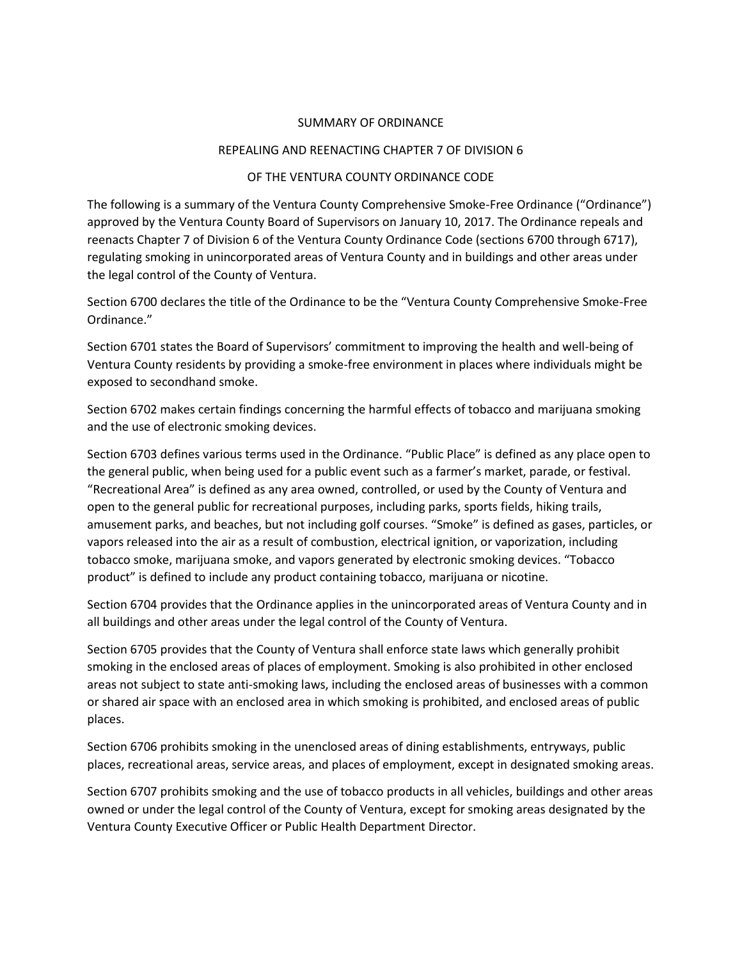## SUMMARY OF ORDINANCE

## REPEALING AND REENACTING CHAPTER 7 OF DIVISION 6

## OF THE VENTURA COUNTY ORDINANCE CODE

The following is a summary of the Ventura County Comprehensive Smoke-Free Ordinance ("Ordinance") approved by the Ventura County Board of Supervisors on January 10, 2017. The Ordinance repeals and reenacts Chapter 7 of Division 6 of the Ventura County Ordinance Code (sections 6700 through 6717), regulating smoking in unincorporated areas of Ventura County and in buildings and other areas under the legal control of the County of Ventura.

Section 6700 declares the title of the Ordinance to be the "Ventura County Comprehensive Smoke-Free Ordinance."

Section 6701 states the Board of Supervisors' commitment to improving the health and well-being of Ventura County residents by providing a smoke-free environment in places where individuals might be exposed to secondhand smoke.

Section 6702 makes certain findings concerning the harmful effects of tobacco and marijuana smoking and the use of electronic smoking devices.

Section 6703 defines various terms used in the Ordinance. "Public Place" is defined as any place open to the general public, when being used for a public event such as a farmer's market, parade, or festival. "Recreational Area" is defined as any area owned, controlled, or used by the County of Ventura and open to the general public for recreational purposes, including parks, sports fields, hiking trails, amusement parks, and beaches, but not including golf courses. "Smoke" is defined as gases, particles, or vapors released into the air as a result of combustion, electrical ignition, or vaporization, including tobacco smoke, marijuana smoke, and vapors generated by electronic smoking devices. "Tobacco product" is defined to include any product containing tobacco, marijuana or nicotine.

Section 6704 provides that the Ordinance applies in the unincorporated areas of Ventura County and in all buildings and other areas under the legal control of the County of Ventura.

Section 6705 provides that the County of Ventura shall enforce state laws which generally prohibit smoking in the enclosed areas of places of employment. Smoking is also prohibited in other enclosed areas not subject to state anti-smoking laws, including the enclosed areas of businesses with a common or shared air space with an enclosed area in which smoking is prohibited, and enclosed areas of public places.

Section 6706 prohibits smoking in the unenclosed areas of dining establishments, entryways, public places, recreational areas, service areas, and places of employment, except in designated smoking areas.

Section 6707 prohibits smoking and the use of tobacco products in all vehicles, buildings and other areas owned or under the legal control of the County of Ventura, except for smoking areas designated by the Ventura County Executive Officer or Public Health Department Director.